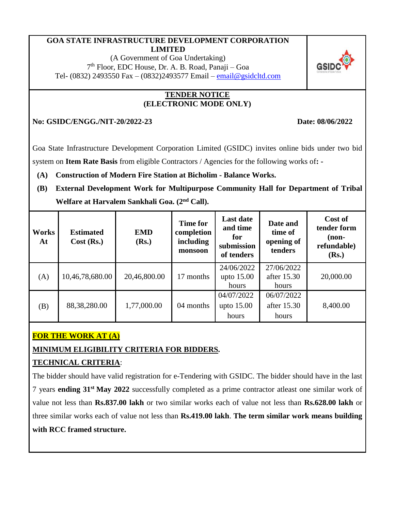### **GOA STATE INFRASTRUCTURE DEVELOPMENT CORPORATION LIMITED**

(A Government of Goa Undertaking) 7 th Floor, EDC House, Dr. A. B. Road, Panaji – Goa Tel- (0832) 2493550 Fax – (0832)2493577 Email – [email@gsidcltd.com](mailto:email@gsidcltd.com)

### **TENDER NOTICE (ELECTRONIC MODE ONLY)**

**No: GSIDC/ENGG./NIT-20/2022-23 Date: 08/06/2022**

Goa State Infrastructure Development Corporation Limited (GSIDC) invites online bids under two bid system on **Item Rate Basis** from eligible Contractors / Agencies for the following works of**: -**

**(A) Construction of Modern Fire Station at Bicholim - Balance Works.**

**(B) External Development Work for Multipurpose Community Hall for Department of Tribal Welfare at Harvalem Sankhali Goa. (2nd Call).**

| <b>Works</b><br>At | <b>Estimated</b><br>$Cost$ (Rs.) | <b>EMD</b><br>(Rs.) | <b>Time for</b><br>completion<br>including<br>monsoon | <b>Last date</b><br>and time<br>for<br>submission<br>of tenders | Date and<br>time of<br>opening of<br>tenders | Cost of<br>tender form<br>$non-$<br>refundable)<br>(Rs.) |
|--------------------|----------------------------------|---------------------|-------------------------------------------------------|-----------------------------------------------------------------|----------------------------------------------|----------------------------------------------------------|
| (A)                | 10,46,78,680.00                  | 20,46,800.00        | 17 months                                             | 24/06/2022<br>upto $15.00$<br>hours                             | 27/06/2022<br>after 15.30<br>hours           | 20,000.00                                                |
| (B)                | 88, 38, 280.00                   | 1,77,000.00         | 04 months                                             | 04/07/2022<br>upto $15.00$<br>hours                             | 06/07/2022<br>after 15.30<br>hours           | 8,400.00                                                 |

# **FOR THE WORK AT (A)**

# **MINIMUM ELIGIBILITY CRITERIA FOR BIDDERS***.*

# **TECHNICAL CRITERIA**:

The bidder should have valid registration for e-Tendering with GSIDC. The bidder should have in the last 7 years **ending 31st May 2022** successfully completed as a prime contractor atleast one similar work of value not less than **Rs.837.00 lakh** or two similar works each of value not less than **Rs.628.00 lakh** or three similar works each of value not less than **Rs.419.00 lakh**. **The term similar work means building with RCC framed structure.**

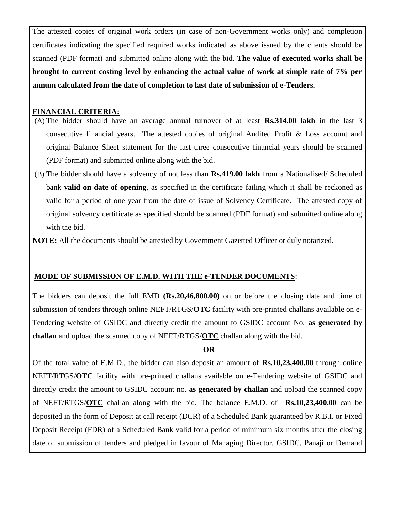The attested copies of original work orders (in case of non-Government works only) and completion certificates indicating the specified required works indicated as above issued by the clients should be scanned (PDF format) and submitted online along with the bid. **The value of executed works shall be brought to current costing level by enhancing the actual value of work at simple rate of 7% per annum calculated from the date of completion to last date of submission of e-Tenders.**

### **FINANCIAL CRITERIA:**

- (A) The bidder should have an average annual turnover of at least **Rs.314.00 lakh** in the last 3 consecutive financial years. The attested copies of original Audited Profit & Loss account and original Balance Sheet statement for the last three consecutive financial years should be scanned (PDF format) and submitted online along with the bid.
- (B) The bidder should have a solvency of not less than **Rs.419.00 lakh** from a Nationalised/ Scheduled bank **valid on date of opening**, as specified in the certificate failing which it shall be reckoned as valid for a period of one year from the date of issue of Solvency Certificate. The attested copy of original solvency certificate as specified should be scanned (PDF format) and submitted online along with the bid.
- **NOTE:** All the documents should be attested by Government Gazetted Officer or duly notarized.

### **MODE OF SUBMISSION OF E.M.D. WITH THE e-TENDER DOCUMENTS**:

The bidders can deposit the full EMD **(Rs.20,46,800.00)** on or before the closing date and time of submission of tenders through online NEFT/RTGS/**OTC** facility with pre-printed challans available on e-Tendering website of GSIDC and directly credit the amount to GSIDC account No. **as generated by challan** and upload the scanned copy of NEFT/RTGS/**OTC** challan along with the bid.

**OR**

Of the total value of E.M.D., the bidder can also deposit an amount of **Rs.10,23,400.00** through online NEFT/RTGS/**OTC** facility with pre-printed challans available on e-Tendering website of GSIDC and directly credit the amount to GSIDC account no. **as generated by challan** and upload the scanned copy of NEFT/RTGS/**OTC** challan along with the bid. The balance E.M.D. of **Rs.10,23,400.00** can be deposited in the form of Deposit at call receipt (DCR) of a Scheduled Bank guaranteed by R.B.I. or Fixed Deposit Receipt (FDR) of a Scheduled Bank valid for a period of minimum six months after the closing date of submission of tenders and pledged in favour of Managing Director, GSIDC, Panaji or Demand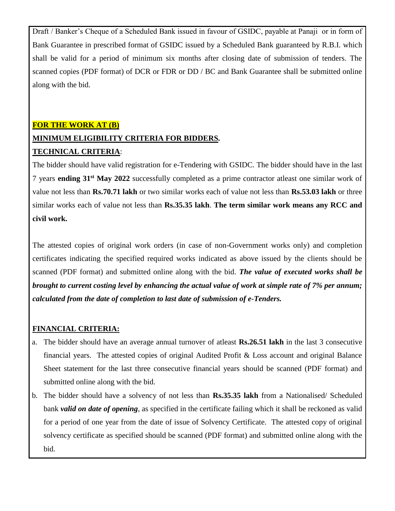Draft / Banker's Cheque of a Scheduled Bank issued in favour of GSIDC, payable at Panaji or in form of Bank Guarantee in prescribed format of GSIDC issued by a Scheduled Bank guaranteed by R.B.I. which shall be valid for a period of minimum six months after closing date of submission of tenders. The scanned copies (PDF format) of DCR or FDR or DD / BC and Bank Guarantee shall be submitted online along with the bid.

# **FOR THE WORK AT (B) MINIMUM ELIGIBILITY CRITERIA FOR BIDDERS***.* **TECHNICAL CRITERIA**:

The bidder should have valid registration for e-Tendering with GSIDC. The bidder should have in the last 7 years **ending 31st May 2022** successfully completed as a prime contractor atleast one similar work of value not less than **Rs.70.71 lakh** or two similar works each of value not less than **Rs.53.03 lakh** or three similar works each of value not less than **Rs.35.35 lakh**. **The term similar work means any RCC and civil work.**

The attested copies of original work orders (in case of non-Government works only) and completion certificates indicating the specified required works indicated as above issued by the clients should be scanned (PDF format) and submitted online along with the bid. *The value of executed works shall be brought to current costing level by enhancing the actual value of work at simple rate of 7% per annum; calculated from the date of completion to last date of submission of e-Tenders.*

## **FINANCIAL CRITERIA:**

- a. The bidder should have an average annual turnover of atleast **Rs.26.51 lakh** in the last 3 consecutive financial years. The attested copies of original Audited Profit & Loss account and original Balance Sheet statement for the last three consecutive financial years should be scanned (PDF format) and submitted online along with the bid.
- b. The bidder should have a solvency of not less than **Rs.35.35 lakh** from a Nationalised/ Scheduled bank *valid on date of opening*, as specified in the certificate failing which it shall be reckoned as valid for a period of one year from the date of issue of Solvency Certificate. The attested copy of original solvency certificate as specified should be scanned (PDF format) and submitted online along with the bid.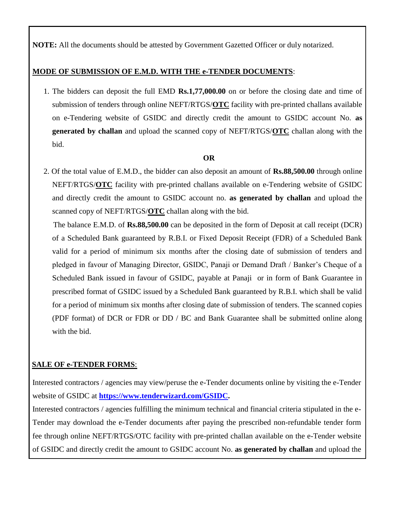**NOTE:** All the documents should be attested by Government Gazetted Officer or duly notarized.

### **MODE OF SUBMISSION OF E.M.D. WITH THE e-TENDER DOCUMENTS**:

1. The bidders can deposit the full EMD **Rs.1,77,000.00** on or before the closing date and time of submission of tenders through online NEFT/RTGS/**OTC** facility with pre-printed challans available on e-Tendering website of GSIDC and directly credit the amount to GSIDC account No. **as generated by challan** and upload the scanned copy of NEFT/RTGS/**OTC** challan along with the bid.

### **OR**

2. Of the total value of E.M.D., the bidder can also deposit an amount of **Rs.88,500.00** through online NEFT/RTGS/**OTC** facility with pre-printed challans available on e-Tendering website of GSIDC and directly credit the amount to GSIDC account no. **as generated by challan** and upload the scanned copy of NEFT/RTGS/**OTC** challan along with the bid.

 The balance E.M.D. of **Rs.88,500.00** can be deposited in the form of Deposit at call receipt (DCR) of a Scheduled Bank guaranteed by R.B.I. or Fixed Deposit Receipt (FDR) of a Scheduled Bank valid for a period of minimum six months after the closing date of submission of tenders and pledged in favour of Managing Director, GSIDC, Panaji or Demand Draft / Banker's Cheque of a Scheduled Bank issued in favour of GSIDC, payable at Panaji or in form of Bank Guarantee in prescribed format of GSIDC issued by a Scheduled Bank guaranteed by R.B.I. which shall be valid for a period of minimum six months after closing date of submission of tenders. The scanned copies (PDF format) of DCR or FDR or DD / BC and Bank Guarantee shall be submitted online along with the bid.

## **SALE OF e-TENDER FORMS**:

Interested contractors / agencies may view/peruse the e-Tender documents online by visiting the e-Tender website of GSIDC at **[https://www.tenderwizard.com/GSIDC.](https://www.tenderwizard.com/GSIDC)**

Interested contractors / agencies fulfilling the minimum technical and financial criteria stipulated in the e-Tender may download the e-Tender documents after paying the prescribed non-refundable tender form fee through online NEFT/RTGS/OTC facility with pre-printed challan available on the e-Tender website of GSIDC and directly credit the amount to GSIDC account No. **as generated by challan** and upload the